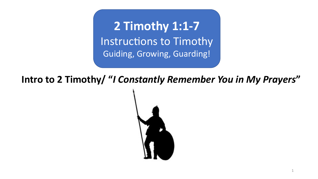**2 Timothy 1:1-7** Instructions to Timothy Guiding, Growing, Guarding!

**Intro to 2 Timothy/ "***I Constantly Remember You in My Prayers***"**

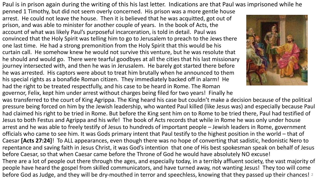Paul is in prison again during the writing of this his last letter. Indications are that Paul was imprisoned while he

penned 1 Timothy, but did not seem overly concerned. His prison was a more gentle house arrest. He could not leave the house. Then it is believed that he was acquitted, got out of prison, and was able to minister for another couple of years. In the book of Acts, the account of what was likely Paul's purposeful incarceration, is told in detail. Paul was convinced that the Holy Spirit was telling him to go to Jerusalem to preach to the Jews there one last time. He had a strong premonition from the Holy Spirit that this would be his curtain call. He somehow knew he would not survive this venture, but he was resolute that he should and would go. There were tearful goodbyes at all the cities that his last missionary journey intersected with, and then he was in Jerusalem. He barely got started there before he was arrested. His captors were about to treat him brutally when he announced to them his special rights as a bonafide Roman citizen. They immediately backed off in alarm! He had the right to be treated respectfully, and his case to be heard in Rome. The Roman governor, Felix, kept him under arrest without charges being filed for two years! Finally he



was transferred to the court of King Agrippa. The King heard his case but couldn't make a decision because of the political pressure being forced on him by the Jewish leadership, who wanted Paul killed (like Jesus was) and especially because Paul had claimed his right to be tried in Rome. But before the King sent him on to Rome to be tried there, Paul had testified of Jesus to both Festus and Agrippa and his wife! The book of Acts records that while in Rome he was only under house arrest and he was able to freely testify of Jesus to hundreds of important people – Jewish leaders in Rome, government officials who came to see him. It was Gods primary intent that Paul testify to the highest position in the world – that of Caesar **[Acts 27:24]**! To ALL appearances, even though there was no hope of converting that sadistic, hedonistic Nero to repentance and saving faith in Jesus Christ, it was God's intention that one of His best spokesman speak on behalf of Jesus before Caesar, so that when Caesar came before the Throne of God he would have absolutely NO excuse! There are a lot of people out there through the ages, and especially today, in a terribly affluent society, the vast majority of people have heard the gospel from skilled communicators, and have turned away, not wanting Jesus! They too will come before God as Judge, and they will be dry-mouthed in terror and speechless, knowing that they passed up their chances! 2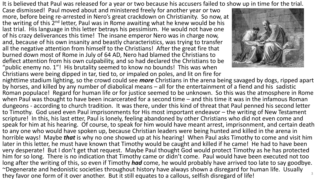It is believed that Paul was released for a year or two because his accusers failed to show up in time for the trial.

Case dismissed! Paul moved about and ministered freely for another year or two more, before being re-arrested in Nero's great crackdown on Christianity. So now, at the writing of this  $2<sup>nd</sup>$  letter, Paul was in Rome awaiting what he knew would be his last trial. His language in this letter betrays his pessimism. He would not have one of his crazy deliverances this time! The insane emperor Nero was in charge now, and, because of his own insanity and beastly characteristics, was trying to transfer all the negative attention from himself to the Christians! After the great fire that burned down most of Rome in July of 64 AD, Nero had blamed the Christians to deflect attention from his own culpability, and so had declared the Christians to be "public enemy no. 1"! His brutality seemed to know no bounds! This was when Christians were being dipped in tar, tied to, or impaled on poles, and lit on fire for



nighttime stadium lighting, so the crowd could see *more* Christians in the arena being savaged by dogs, ripped apart by horses, and killed by any number of diabolical means – all for the entertainment of a fiend and his sadistic Roman populace! Regard for human life or for justice seemed to be unknown. So this was the atmosphere in Rome when Paul was thought to have been incarcerated for a second time – and this time it was in the infamous Roman dungeons - according to church tradition. It was there, under this kind of threat that Paul penned his second letter to Timothy. God used even Paul imprisonments for His most important endeavor – the writing of New Testament scripture! In this, his last etter, Paul is lonely, feeling abandoned by other Christians who did not even come and speak for him at his hearing. Of course, to speak for him would have meant arrest, imprisonment, and certain death to any one who would have spoken up, because Christian leaders were being hunted and killed in the arena in horrible ways! Maybe *that* is why no one showed up at his hearing! When Paul asks Timothy to come and visit him later in this letter, he must have known that Timothy would be caught and killed if he came! He had to have been very desperate! But I don't get that request. Maybe Paul thought God would protect Timothy as he has protected him for so long. There is no indication that Timothy came or didn't come. Paul would have been executed not too long after the writing of this, so even if Timothy *had* come, he would probably have arrived too late to say goodbye. ~Degenerate and hedonistic societies throughout history have always shown a disregard for human life. Usually they favor one form of it over another. But it still equates to a callous, selfish disregard of life! <sup>3</sup>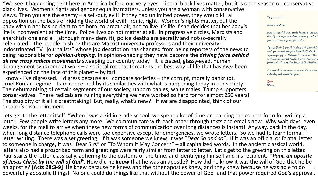\*We see it happening right here in America before our very eyes. Liberal black lives matter, but it is open season on conservative

black lives. Women's rights and gender equality matters, unless you are a woman with conservative views. Then you are the enemy – a sell-out, evil! If they had unlimited power, they would kill all opposition on the basis of ridding the world of evil! Ironic, right! Women's rights matter, but the baby within her has no right to be born, to breath air, and to live it's life if she decides that her baby's life is inconvenient at the time. Police lives do not matter at all. In progressive circles, Marxists and anarchists one and all (although many deny it), police deaths are secretly and not-so-secretly celebrated! The people pushing this are Marxist university professors and their university-<br>indoctrinated TV "journalists" whose job description has changed from being reporters of the news to being responsible for *opinion-shaping.* In opinion-shaping they have become the *driving force behind all the crazy radical movements* sweeping our country today! It is crazed, glassy-eyed, human derangement syndrome at work – a societal rot that threatens the best way of life that has *ever* been experienced on the face of this planet – by far!

I know - I've digressed. I digress because as I compare societies – the corrupt, morally bankrupt, cruel Roman regime - I am concerned by its similarities with what is happening today in our society! The dehumanizing of certain segments of our society, unborn babies, white males, Trump supporters, conservatives. These radicals are ruining everything we have worked so hard for for almost 250 years! The stupidity of it all is breathtaking! But, really, what's new?! If *we* are disappointed, think of our Creator's disappointment!

Lets get to the letter itself. \*When I was a kid in grade school, we spent a lot of time on learning the correct form for writing a letter. Few people write letters any more. We communicate with each other through texts and emails now. Why wait days, even weeks, for the mail to arrive when these new forms of communication over long distances is instant! Anyway, back in the day, when long distance telephone calls were too expensive except for emergencies, we wrote letters. So we had to learn formal letter writing. There was a set greeting. If it was someone we knew, it was "*Dear So and so"*. If it was an official or formal letter to someone in charge, it was "Dear Sirs" or "To Whom it May Concern" – all capitalized words. In the ancient classical world, letters also had a proscribed form and greetings were fairly similar from letter to letter. Let's get to the greeting on this letter. Paul starts the letter classically, adhering to the customs of the time, and identifying himself and his recipient. "*Paul, an apostle of Jesus Christ by the will of God*". How did he *know* that he was an apostle? How did he know it was the will of God that he be an apostle? **[Acts 28:3-9]** He knew because he knew, and the other apostles knew, and they knew because he was able to do powerfully apostolic things! No one could do things like that without the power of God -and that power required God's approval. 4

May 8, 2012

Dear Grandma

How are you? I was really happy to see you Grandpa at my graduation ceremony, and I h you re recovering from your cold.

Do you think it would be akay if I stopped by visit you on Saturday? I'd really like to show my new puppy. I think you il adare her. Her is Sassy, and I get her last week. And she's favorite breed : a golden lab, just like Satchmo

I'm excited to come see you soon. Let me know Saturday will work for you.

Lave, Olivia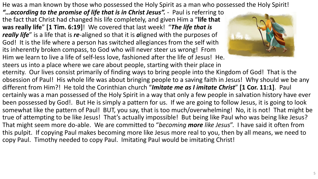He was a man known by those who possessed the Holy Spirit as a man who possessed the Holy Spirit!

"... according to the promise of life that is in Christ Jesus". - Paul is referring to the fact that Christ had changed his life completely, and given Him a "**life that was really life**" **[1 Tim. 6:19]**! We covered that last week! "*The life that is really life*" is a life that is *re*-aligned so that it is *a*ligned with the purposes of God! It is the life where a person has switched allegiances from the self with its inherently broken compass, to God who will never steer us wrong! From Him we learn to live a life of self-less love, fashioned after the life of Jesus! He.



steers us into a place where we care about people, starting with their place in eternity. Our lives consist primarily of finding ways to bring people into the Kingdom of God! That is the obsession of Paul! His whole life was about bringing people to a saving faith in Jesus! Why should we be any different from Him?! He told the Corinthian church "*Imitate me as I imitate Christ*" **[1 Cor. 11:1]**. Paul certainly was a man possessed of the Holy Spirit in a way that only a few people in salvation history have ever been possessed by God!. But He is simply a pattern for us. If we are going to follow Jesus, it is going to look somewhat like the pattern of Paul! BUT, you say, that is too much/overwhelming! No, it is not! That might be true of attempting to be like Jesus! That's actually impossible! But being like Paul who was being like Jesus? That might seem more do-able. We are committed to "*becoming more like Jesus*". I have said it often from this pulpit. If copying Paul makes becoming more like Jesus more real to you, then by all means, we need to copy Paul. Timothy needed to copy Paul. Imitating Paul would be imitating Christ!